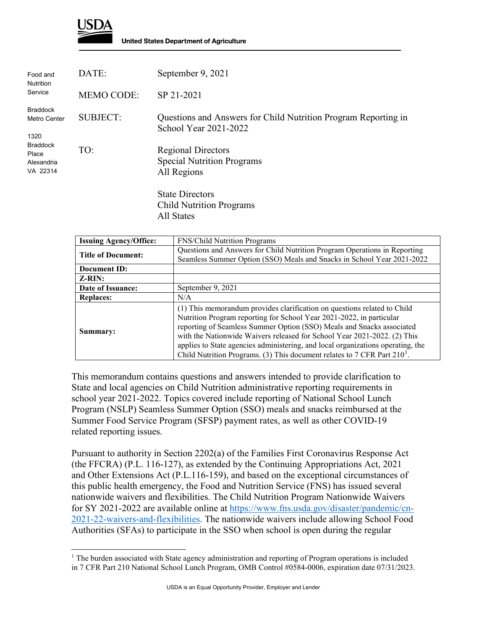

 $\overline{a}$ 

**United States Department of Agriculture** 

| Food and<br><b>Nutrition</b><br>Service                                                       | DATE:             | September 9, 2021                                                                       |
|-----------------------------------------------------------------------------------------------|-------------------|-----------------------------------------------------------------------------------------|
|                                                                                               | <b>MEMO CODE:</b> | SP 21-2021                                                                              |
| <b>Braddock</b><br>Metro Center<br>1320<br><b>Braddock</b><br>Place<br>Alexandria<br>VA 22314 | <b>SUBJECT:</b>   | Questions and Answers for Child Nutrition Program Reporting in<br>School Year 2021-2022 |
|                                                                                               | TO:               | <b>Regional Directors</b><br><b>Special Nutrition Programs</b><br>All Regions           |
|                                                                                               |                   | <b>State Directors</b><br><b>Child Nutrition Programs</b><br>All States                 |

| <b>Issuing Agency/Office:</b> | <b>FNS/Child Nutrition Programs</b>                                                                                                                                                                                                                                                                                                                                                                                                                                     |
|-------------------------------|-------------------------------------------------------------------------------------------------------------------------------------------------------------------------------------------------------------------------------------------------------------------------------------------------------------------------------------------------------------------------------------------------------------------------------------------------------------------------|
| <b>Title of Document:</b>     | Questions and Answers for Child Nutrition Program Operations in Reporting<br>Seamless Summer Option (SSO) Meals and Snacks in School Year 2021-2022                                                                                                                                                                                                                                                                                                                     |
| Document ID:                  |                                                                                                                                                                                                                                                                                                                                                                                                                                                                         |
| $Z-RIN:$                      |                                                                                                                                                                                                                                                                                                                                                                                                                                                                         |
| Date of Issuance:             | September 9, 2021                                                                                                                                                                                                                                                                                                                                                                                                                                                       |
| <b>Replaces:</b>              | N/A                                                                                                                                                                                                                                                                                                                                                                                                                                                                     |
| Summary:                      | (1) This memorandum provides clarification on questions related to Child<br>Nutrition Program reporting for School Year 2021-2022, in particular<br>reporting of Seamless Summer Option (SSO) Meals and Snacks associated<br>with the Nationwide Waivers released for School Year 2021-2022. (2) This<br>applies to State agencies administering, and local organizations operating, the<br>Child Nutrition Programs. (3) This document relates to 7 CFR Part $210^1$ . |

This memorandum contains questions and answers intended to provide clarification to State and local agencies on Child Nutrition administrative reporting requirements in school year 2021-2022. Topics covered include reporting of National School Lunch Program (NSLP) Seamless Summer Option (SSO) meals and snacks reimbursed at the Summer Food Service Program (SFSP) payment rates, as well as other COVID-19 related reporting issues.

Pursuant to authority in Section 2202(a) of the Families First Coronavirus Response Act (the FFCRA) (P.L. 116-127), as extended by the Continuing Appropriations Act, 2021 and Other Extensions Act (P.L.116-159), and based on the exceptional circumstances of this public health emergency, the Food and Nutrition Service (FNS) has issued several nationwide waivers and flexibilities. The Child Nutrition Program Nationwide Waivers for SY 2021-2022 are available online at [https://www.fns.usda.gov/disaster/pandemic/cn-](https://www.fns.usda.gov/disaster/pandemic/cn-2021-22-waivers-and-flexibilities)[2021-22-waivers-and-flexibilities.](https://www.fns.usda.gov/disaster/pandemic/cn-2021-22-waivers-and-flexibilities) The nationwide waivers include allowing School Food Authorities (SFAs) to participate in the SSO when school is open during the regular

<span id="page-0-0"></span> $1$  The burden associated with State agency administration and reporting of Program operations is included in 7 CFR Part 210 National School Lunch Program, OMB Control #0584-0006, expiration date 07/31/2023.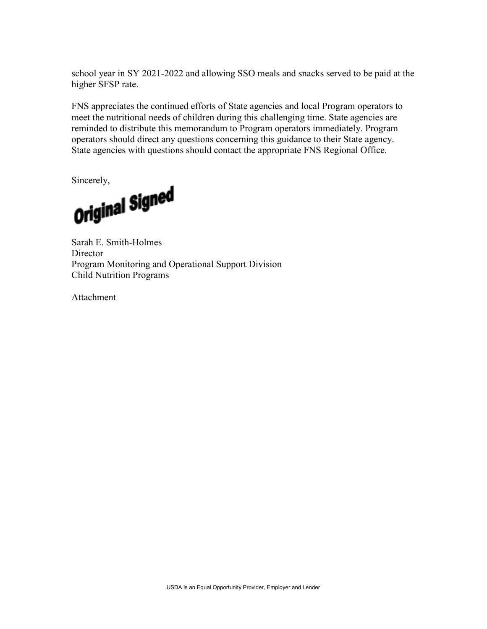school year in SY 2021-2022 and allowing SSO meals and snacks served to be paid at the higher SFSP rate.

FNS appreciates the continued efforts of State agencies and local Program operators to meet the nutritional needs of children during this challenging time. State agencies are reminded to distribute this memorandum to Program operators immediately. Program operators should direct any questions concerning this guidance to their State agency. State agencies with questions should contact the appropriate FNS Regional Office.

Sincerely,<br>Original Signed

Sarah E. Smith-Holmes **Director** Program Monitoring and Operational Support Division Child Nutrition Programs

Attachment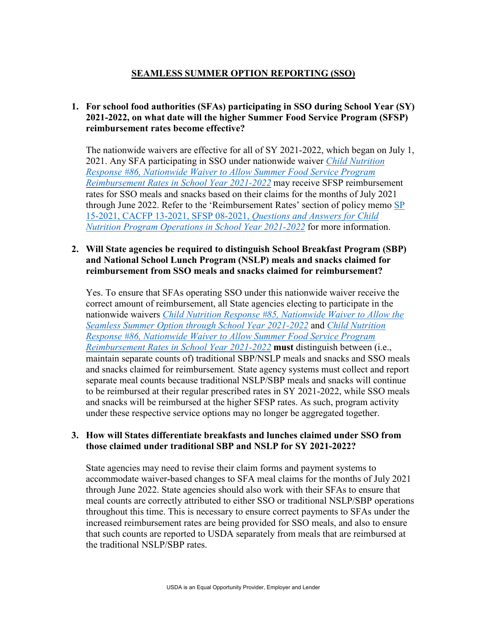# **SEAMLESS SUMMER OPTION REPORTING (SSO)**

## **1. For school food authorities (SFAs) participating in SSO during School Year (SY) 2021-2022, on what date will the higher Summer Food Service Program (SFSP) reimbursement rates become effective?**

The nationwide waivers are effective for all of SY 2021-2022, which began on July 1, 2021. Any SFA participating in SSO under nationwide waiver *[Child Nutrition](https://www.fns.usda.gov/cn/child-nutrition-response-86)  Response #86, Nationwide [Waiver to Allow Summer Food Service Program](https://www.fns.usda.gov/cn/child-nutrition-response-86)  [Reimbursement Rates in School Year 2021-2022](https://www.fns.usda.gov/cn/child-nutrition-response-86)* may receive SFSP reimbursement rates for SSO meals and snacks based on their claims for the months of July 2021 through June 2022. Refer to the 'Reimbursement Rates' section of policy memo [SP](https://www.fns.usda.gov/cn/qa-child-nutrition-program-operations-sy-2021-2022)  [15-2021, CACFP 13-2021, SFSP 08-2021,](https://www.fns.usda.gov/cn/qa-child-nutrition-program-operations-sy-2021-2022) *Questions and Answers for Child [Nutrition Program Operations in School Year 2021-2022](https://www.fns.usda.gov/cn/qa-child-nutrition-program-operations-sy-2021-2022)* for more information.

#### **2. Will State agencies be required to distinguish School Breakfast Program (SBP) and National School Lunch Program (NSLP) meals and snacks claimed for reimbursement from SSO meals and snacks claimed for reimbursement?**

Yes. To ensure that SFAs operating SSO under this nationwide waiver receive the correct amount of reimbursement, all State agencies electing to participate in the nationwide waivers *[Child Nutrition Response #85, Nationwide Waiver to Allow the](https://www.fns.usda.gov/cn/child-nutrition-response-85)  [Seamless Summer Option through School Year 2021-2022](https://www.fns.usda.gov/cn/child-nutrition-response-85)* and *[Child Nutrition](https://www.fns.usda.gov/cn/child-nutrition-response-86)  [Response #86, Nationwide Waiver to Allow Summer Food Service Program](https://www.fns.usda.gov/cn/child-nutrition-response-86)  [Reimbursement Rates in School Year 2021-2022](https://www.fns.usda.gov/cn/child-nutrition-response-86)* **must** distinguish between (i.e., maintain separate counts of) traditional SBP/NSLP meals and snacks and SSO meals and snacks claimed for reimbursement*.* State agency systems must collect and report separate meal counts because traditional NSLP/SBP meals and snacks will continue to be reimbursed at their regular prescribed rates in SY 2021-2022, while SSO meals and snacks will be reimbursed at the higher SFSP rates. As such, program activity under these respective service options may no longer be aggregated together.

#### **3. How will States differentiate breakfasts and lunches claimed under SSO from those claimed under traditional SBP and NSLP for SY 2021-2022?**

State agencies may need to revise their claim forms and payment systems to accommodate waiver-based changes to SFA meal claims for the months of July 2021 through June 2022. State agencies should also work with their SFAs to ensure that meal counts are correctly attributed to either SSO or traditional NSLP/SBP operations throughout this time. This is necessary to ensure correct payments to SFAs under the increased reimbursement rates are being provided for SSO meals, and also to ensure that such counts are reported to USDA separately from meals that are reimbursed at the traditional NSLP/SBP rates.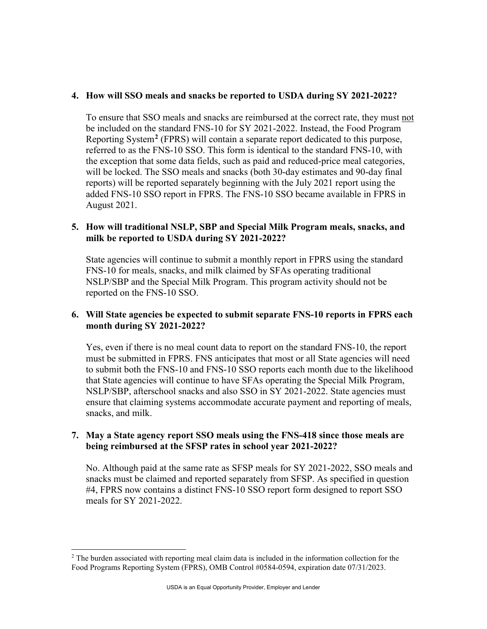#### **4. How will SSO meals and snacks be reported to USDA during SY 2021-2022?**

To ensure that SSO meals and snacks are reimbursed at the correct rate, they must not be included on the standard FNS-10 for SY 2021-2022. Instead, the Food Program Reporting System**[2](#page-3-0)** (FPRS) will contain a separate report dedicated to this purpose, referred to as the FNS-10 SSO. This form is identical to the standard FNS-10, with the exception that some data fields, such as paid and reduced-price meal categories, will be locked. The SSO meals and snacks (both 30-day estimates and 90-day final reports) will be reported separately beginning with the July 2021 report using the added FNS-10 SSO report in FPRS. The FNS-10 SSO became available in FPRS in August 2021.

## **5. How will traditional NSLP, SBP and Special Milk Program meals, snacks, and milk be reported to USDA during SY 2021-2022?**

State agencies will continue to submit a monthly report in FPRS using the standard FNS-10 for meals, snacks, and milk claimed by SFAs operating traditional NSLP/SBP and the Special Milk Program. This program activity should not be reported on the FNS-10 SSO.

## **6. Will State agencies be expected to submit separate FNS-10 reports in FPRS each month during SY 2021-2022?**

Yes, even if there is no meal count data to report on the standard FNS-10, the report must be submitted in FPRS. FNS anticipates that most or all State agencies will need to submit both the FNS-10 and FNS-10 SSO reports each month due to the likelihood that State agencies will continue to have SFAs operating the Special Milk Program, NSLP/SBP, afterschool snacks and also SSO in SY 2021-2022. State agencies must ensure that claiming systems accommodate accurate payment and reporting of meals, snacks, and milk.

## **7. May a State agency report SSO meals using the FNS-418 since those meals are being reimbursed at the SFSP rates in school year 2021-2022?**

No. Although paid at the same rate as SFSP meals for SY 2021-2022, SSO meals and snacks must be claimed and reported separately from SFSP. As specified in question #4, FPRS now contains a distinct FNS-10 SSO report form designed to report SSO meals for SY 2021-2022.

<span id="page-3-0"></span> $\overline{a}$  $2$  The burden associated with reporting meal claim data is included in the information collection for the Food Programs Reporting System (FPRS), OMB Control #0584-0594, expiration date 07/31/2023.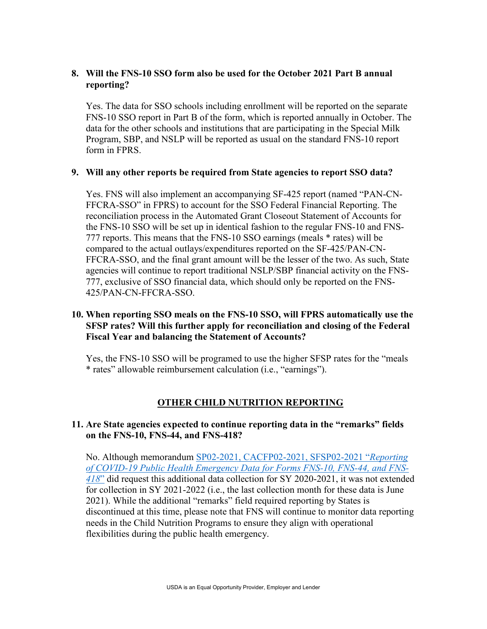## **8. Will the FNS-10 SSO form also be used for the October 2021 Part B annual reporting?**

Yes. The data for SSO schools including enrollment will be reported on the separate FNS-10 SSO report in Part B of the form, which is reported annually in October. The data for the other schools and institutions that are participating in the Special Milk Program, SBP, and NSLP will be reported as usual on the standard FNS-10 report form in FPRS.

## **9. Will any other reports be required from State agencies to report SSO data?**

Yes. FNS will also implement an accompanying SF-425 report (named "PAN-CN-FFCRA-SSO" in FPRS) to account for the SSO Federal Financial Reporting. The reconciliation process in the Automated Grant Closeout Statement of Accounts for the FNS-10 SSO will be set up in identical fashion to the regular FNS-10 and FNS-777 reports. This means that the FNS-10 SSO earnings (meals \* rates) will be compared to the actual outlays/expenditures reported on the SF-425/PAN-CN-FFCRA-SSO, and the final grant amount will be the lesser of the two. As such, State agencies will continue to report traditional NSLP/SBP financial activity on the FNS-777, exclusive of SSO financial data, which should only be reported on the FNS-425/PAN-CN-FFCRA-SSO.

## **10. When reporting SSO meals on the FNS-10 SSO, will FPRS automatically use the SFSP rates? Will this further apply for reconciliation and closing of the Federal Fiscal Year and balancing the Statement of Accounts?**

Yes, the FNS-10 SSO will be programed to use the higher SFSP rates for the "meals \* rates" allowable reimbursement calculation (i.e., "earnings").

# **OTHER CHILD NUTRITION REPORTING**

## **11. Are State agencies expected to continue reporting data in the "remarks" fields on the FNS-10, FNS-44, and FNS-418?**

No. Although memorandum [SP02-2021, CACFP02-2021, SFSP02-2021 "](https://www.fns.usda.gov/cn/reporting-covid-19-public-health-emergency-data-forms)*Reporting [of COVID-19 Public Health Emergency Data for Forms FNS-10, FNS-44, and FNS-](https://www.fns.usda.gov/cn/reporting-covid-19-public-health-emergency-data-forms)[418](https://www.fns.usda.gov/cn/reporting-covid-19-public-health-emergency-data-forms)*" did request this additional data collection for SY 2020-2021, it was not extended for collection in SY 2021-2022 (i.e., the last collection month for these data is June 2021). While the additional "remarks" field required reporting by States is discontinued at this time, please note that FNS will continue to monitor data reporting needs in the Child Nutrition Programs to ensure they align with operational flexibilities during the public health emergency.